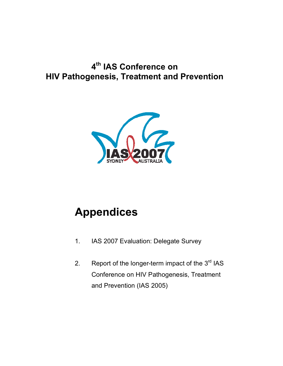## **4th IAS Conference on HIV Pathogenesis, Treatment and Prevention**



# **Appendices**

- 1. IAS 2007 Evaluation: Delegate Survey
- 2. Report of the longer-term impact of the  $3<sup>rd</sup>$  IAS Conference on HIV Pathogenesis, Treatment and Prevention (IAS 2005)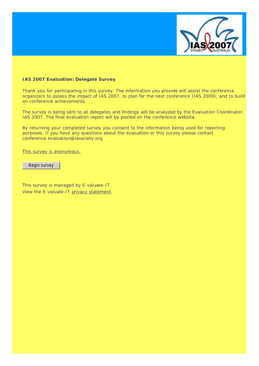

#### **IAS 2007 Evaluation: Delegate Survey**

Thank you for participating in this survey. The information you provide will assist the conference organizers to assess the impact of IAS 2007, to plan for the next conference (IAS 2009), and to build on conference achievements.

The survey is being sent to all delegates and findings will be analyzed by the Evaluation Coordinator, IAS 2007. The final evaluation report will be posted on the conference website.

By returning your completed survey you consent to the information being used for reporting purposes. If you have any questions about the evaluation or this survey please contact [conference.evaluation@iasociety.org](mailto:conference.evaluation@iasociety.org)

This survey is anonymous.

Begin survey

This survey is managed by E-valuate-IT. View the E-valuate-IT privacy statement.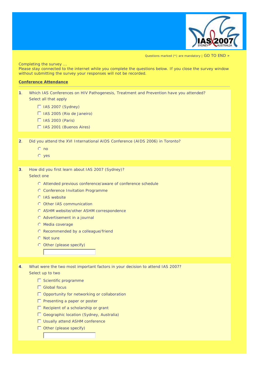

Questions marked (\*) are mandatory | GO TO END »

*Completing the survey ... Please stay connected to the internet while you complete the questions below. If you close the survey window without submitting the survey your responses will not be recorded.*

#### **Conference Attendance**

**1**. Which IAS Conferences on HIV Pathogenesis, Treatment and Prevention have you attended? *Select all that apply*

- $\Box$  IAS 2007 (Sydney)
- $\Box$  IAS 2005 (Rio de Janeiro)
- $\Box$  IAS 2003 (Paris)
- $\Box$  IAS 2001 (Buenos Aires)

**2**. Did you attend the XVI International AIDS Conference (AIDS 2006) in Toronto?

- $O$  no
- yes

## **3**. How did you first learn about IAS 2007 (Sydney)?

#### *Select one*

- Attended previous conference/aware of conference schedule
- C Conference Invitation Programme
- **O** IAS website
- Other IAS communication
- ASHM website/other ASHM correspondence
- Advertisement in a journal
- **O** Media coverage
- Recommended by a colleague/friend
- **C** Not sure
- Other *(please specify)*

**4**. What were the two most important factors in your decision to attend IAS 2007?

*Select up to two*

- $\square$  Scientific programme
- □ Global focus
- Opportunity for networking or collaboration
- $\Box$  Presenting a paper or poster
- $\Box$  Recipient of a scholarship or grant
- Geographic location (Sydney, Australia)
- □ Usually attend ASHM conference
- Other *(please specify)*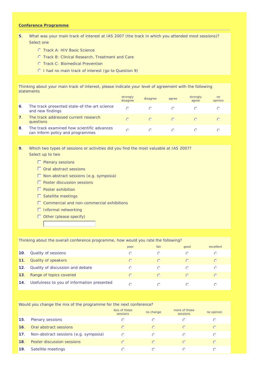#### **Conference Programme**

- **5**. What was your main track of interest at IAS 2007 (the track in which you attended most sessions)? *Select one*
	- **O** Track A: HIV Basic Science
	- Track B: Clinical Research, Treatment and Care
	- **O** Track C: Biomedical Prevention
	- I had no main track of interest *(go to Question 9)*

Thinking about your main track of interest, please indicate your level of agreement with the following statements

|    |                                                                                | strongly<br>disagree   | disagree | agree | strongly<br>agree | n <sub>0</sub><br>opinion |
|----|--------------------------------------------------------------------------------|------------------------|----------|-------|-------------------|---------------------------|
| 6. | The track presented state-of-the-art science<br>and new findings               | ⊖                      |          |       |                   |                           |
|    | The track addressed current research<br>questions                              | $\left( \cdot \right)$ | $\cap$   |       |                   |                           |
| 8  | The track examined how scientific advances<br>can inform policy and programmes | ∩                      |          |       |                   |                           |

**9**. Which two types of sessions or activities did you find the most valuable at IAS 2007? *Select up to two*

- $\Box$  Plenary sessions
- □ Oral abstract sessions
- Non-abstract sessions (e.g. symposia)
- $\square$  Poster discussion sessions
- $\Box$  Poster exhibition
- $\square$  Satellite meetings
- $\Box$  Commercial and non-commercial exhibitions
- $\Box$  Informal networking
- Other *(please specify)*

#### Thinking about the overall conference programme, how would you rate the following?

|     |                                            | poor      | fair                   | good      | excellent            |
|-----|--------------------------------------------|-----------|------------------------|-----------|----------------------|
| 10. | Quality of sessions                        | ∩         | $(\cdot)$              | $(\cdot)$ | $\left(\cdot\right)$ |
| 11. | Quality of speakers                        | $\bigcap$ | $\bigcirc$             | $\bigcap$ | $\bigcap$            |
| 12. | Quality of discussion and debate           |           | $\left( \cdot \right)$ | ⊙         | ⊙                    |
| 13. | Range of topics covered                    | $\bigcap$ | $\bigcap$              | $\bigcap$ | $\bigcap$            |
| 14. | Usefulness to you of information presented |           |                        |           |                      |

#### Would you change the mix of the programme for the next conference?

|     |                                       | less of these<br>sessions | no change | more of these<br>sessions | no opinion           |
|-----|---------------------------------------|---------------------------|-----------|---------------------------|----------------------|
| 15. | Plenary sessions                      | ⊙                         | $(\cdot)$ | ∩                         | ⊙                    |
| 16. | Oral abstract sessions                | $\bigcirc$                | $\bigcap$ | $\bigcap$                 | $\bigcirc$           |
| 17. | Non-abstract sessions (e.g. symposia) | ⊙                         | ⊙         | ∩                         | ⊙                    |
| 18  | Poster discussion sessions            | $\bigcap$                 | $\bigcap$ | $\bigcap$                 | $\bigcirc$           |
| 19  | Satellite meetings                    | ∩                         | ( - )     |                           | $\left(\cdot\right)$ |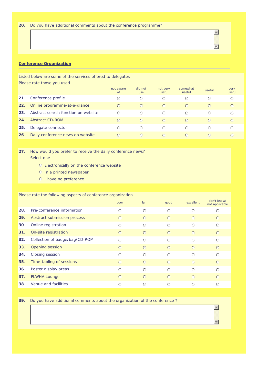#### **Conference Organization**

Listed below are some of the services offered to delegates *Please rate those you used*

|     |                                     | not aware<br><b>of</b> | did not<br><b>use</b> | not very<br>useful | somewhat<br>useful | useful     | very<br>useful |
|-----|-------------------------------------|------------------------|-----------------------|--------------------|--------------------|------------|----------------|
| 21. | Conference profile                  | $\bigcap$              | $\odot$               | ⊙                  | ⊙                  | ⊙          | ⊙              |
| 22. | Online programme-at-a-glance        | $\bigcirc$             | $\bigcirc$            | $\odot$            | $\odot$            | $\bigcirc$ | $\bigcirc$     |
| 23. | Abstract search function on website | ⊙                      | $\odot$               | $\odot$            | $\bigcirc$         | ⊙          | ⊙              |
| 24. | Abstract CD-ROM                     | $\odot$                | $\odot$               | $\odot$            | $\odot$            | $\bigcirc$ | $\odot$        |
| 25. | Delegate connector                  | ⊙                      | $\odot$               | ⊙                  | ⊙                  | ⊙          | ⊙              |
| 26. | Daily conference news on website    | $\bigcirc$             | $\bigcap$             | $\bigcirc$         | $\bigcap$          | $\bigcirc$ | $\bigcap$      |

**27**. How would you prefer to receive the daily conference news? *Select one*

- Electronically on the conference website
- In a printed newspaper
- O I have no preference

#### Please rate the following aspects of conference organization

|     |                                | poor       | fair       | good       | excellent  | don't know/<br>not applicable |
|-----|--------------------------------|------------|------------|------------|------------|-------------------------------|
| 28. | Pre-conference information     | $\bigcirc$ | $\odot$    | $\bigcap$  | $\bigcap$  | $\odot$                       |
| 29. | Abstract submission process    | $\circ$    | $\circ$    | $\bigcirc$ | $\circ$    | $\circ$                       |
| 30. | Online registration            | $\odot$    | $\bigcirc$ | $\bigcap$  | $\bigcirc$ | $\bigcirc$                    |
| 31. | On-site registration           | $\odot$    | $\circ$    | $\bigcirc$ | $\circ$    | $\odot$                       |
| 32. | Collection of badge/bag/CD-ROM | $\odot$    | $\odot$    | $\odot$    | $\odot$    | $\odot$                       |
| 33. | Opening session                | $\bigcirc$ | $\odot$    | $\odot$    | $\odot$    | $\odot$                       |
| 34. | Closing session                | $\odot$    | $\odot$    | $\odot$    | $\bigcap$  | $\odot$                       |
| 35. | Time-tabling of sessions       | $\bigcirc$ | $\bigcirc$ | $\bigcirc$ | $\bigcirc$ | $\odot$                       |
| 36. | Poster display areas           | $\odot$    | $\odot$    | $\bigcap$  | $\bigcap$  | $\odot$                       |
| 37. | PLWHA Lounge                   | $\circ$    | $\circ$    | $\bigcirc$ | $\bigcirc$ | $\odot$                       |
| 38. | Venue and facilities           | ∩          | $\odot$    | $\bigcap$  | ∩          | $\odot$                       |

**39**. Do you have additional comments about the organization of the conference ?

 $\overline{\phantom{a}}$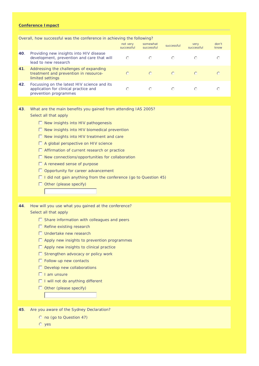#### **Conference Impact**

|     | Overall, how successful was the conference in achieving the following?                                        |                        |                        |            |                    |               |
|-----|---------------------------------------------------------------------------------------------------------------|------------------------|------------------------|------------|--------------------|---------------|
|     |                                                                                                               | not very<br>successful | somewhat<br>successful | successful | very<br>successful | don't<br>know |
| 40. | Providing new insights into HIV disease<br>development, prevention and care that will<br>lead to new research | ∩                      | ⊙                      | ∩          | ⊙                  | ⊙             |
| 41. | Addressing the challenges of expanding<br>treatment and prevention in resource-<br>limited settings           | $\bigcap$              | $\bigcirc$             | $\bigcirc$ | $\bigcap$          | $\bigcap$     |
| 42. | Focussing on the latest HIV science and its<br>application for clinical practice and<br>prevention programmes | ⊂                      | ⊙                      | ◯          |                    | ∩             |
|     |                                                                                                               |                        |                        |            |                    |               |

#### **43**. What are the main benefits you gained from attending IAS 2005? *Select all that apply*

 $\Box$  New insights into HIV pathogenesis

 $\Box$  New insights into HIV biomedical prevention

- $\Box$  New insights into HIV treatment and care
- $\Box$  A global perspective on HIV science

■ Affirmation of current research or practice

 $\square$  New connections/opportunities for collaboration

- A renewed sense of purpose
- Opportunity for career advancement
- I did not gain anything from the conference *(go to Question 45)*
- Other *(please specify)*

**44**. How will you use what you gained at the conference? *Select all that apply*

- $\Box$  Share information with colleagues and peers
- $\Box$  Refine existing research
- □ Undertake new research
- $\Box$  Apply new insights to prevention programmes
- $\Box$  Apply new insights to clinical practice
- $\Box$  Strengthen advocacy or policy work
- $\Box$  Follow-up new contacts
- $\square$  Develop new collaborations
- $\Pi$  I am unsure
- $\Box$  I will not do anything different
- Other *(please specify)*
- **45**. Are you aware of the Sydney Declaration?
	- no *(go to Question 47)*
	- $O$  yes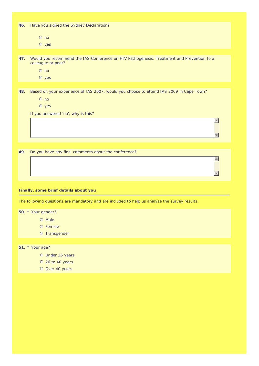| 46. | Have you signed the Sydney Declaration?                                                                         |
|-----|-----------------------------------------------------------------------------------------------------------------|
|     | $\odot$ no                                                                                                      |
|     | $O$ yes                                                                                                         |
|     |                                                                                                                 |
| 47. | Would you recommend the IAS Conference on HIV Pathogenesis, Treatment and Prevention to a<br>colleague or peer? |
|     | $\odot$ no                                                                                                      |
|     | $O$ yes                                                                                                         |
|     |                                                                                                                 |
| 48. | Based on your experience of IAS 2007, would you choose to attend IAS 2009 in Cape Town?                         |
|     | $\odot$ no                                                                                                      |
|     | $O$ yes                                                                                                         |
|     | If you answered 'no', why is this?                                                                              |
|     |                                                                                                                 |
|     |                                                                                                                 |
|     |                                                                                                                 |
| 49. | Do you have any final comments about the conference?                                                            |
|     |                                                                                                                 |
|     |                                                                                                                 |
|     |                                                                                                                 |
|     |                                                                                                                 |
|     | Finally, some brief details about you                                                                           |
|     | The following questions are mandatory and are included to help us analyse the survey results.                   |
|     | 50. * Your gender?                                                                                              |
|     | <b>O</b> Male                                                                                                   |
|     | © Female                                                                                                        |
|     | <b>C</b> Transgender                                                                                            |
|     |                                                                                                                 |
|     | 51. * Your age?                                                                                                 |

- Under 26 years
- $O$  26 to 40 years
- O Over 40 years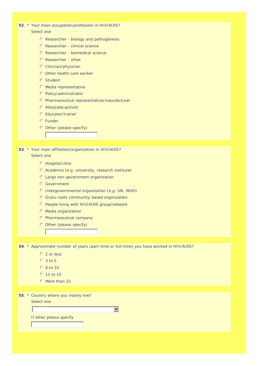**52**. \* Your main occupation/profession in HIV/AIDS?

#### *Select one*

- Researcher biology and pathogenesis
- Researcher clinical science
- Researcher biomedical science
- Researcher other
- Clinician/physician
- O Other health care worker
- **C** Student
- **C** Media representative
- Policy/administrator
- Pharmaceutical representative/manufacturer
- Advocate/activist
- Educator/trainer
- Funder
- Other *(please specify)*
- **53**. \* Your main affiliation/organization in HIV/AIDS? *Select one*
	- **C** Hospital/clinic
	- Academia (e.g. university, research institute)
	- Large non-government organization
	- Government
	- Intergovernmental organization (e.g. UN, WHO)
	- Grass-roots community-based organization
	- People living with HIV/AIDS group/network
	- Media organization
	- Pharmaceutical company
	- Other *(please specify)*

**54**. \* Approximate number of years (part-time or full-time) you have worked in HIV/AIDS?

- 2 or less
- $O$  3 to 5
- 6 to 10
- $0.11$  to 15
- O More than 15

**55**. \* Country where you mainly live?

*Select one*

 $\overline{\phantom{a}}$ 

If other please specify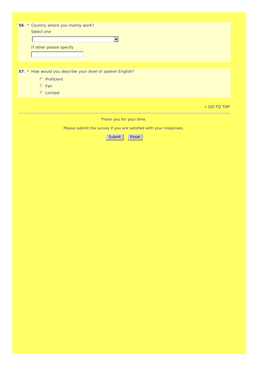| 56. * Country where you mainly work?                       |             |
|------------------------------------------------------------|-------------|
| Select one                                                 |             |
|                                                            |             |
| ▼                                                          |             |
| If other please specify                                    |             |
|                                                            |             |
|                                                            |             |
|                                                            |             |
|                                                            |             |
| 57. * How would you describe your level of spoken English? |             |
| © Proficient                                               |             |
| $O$ Fair                                                   |             |
| <b>C</b> Limited                                           |             |
|                                                            |             |
|                                                            |             |
|                                                            | « GO TO TOP |
|                                                            |             |

*Thank you for your time.*

*Please submit the survey if you are satisfied with your responses.*

Submit Reset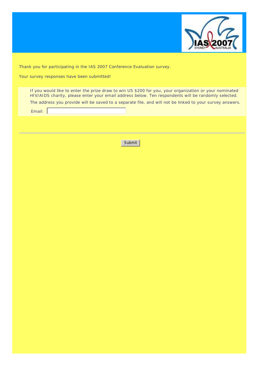

Thank you for participating in the IAS 2007 Conference Evaluation survey.

Your survey responses have been submitted!

If you would like to enter the prize draw to win US \$200 for you, your organization or your nominated HIV/AIDS charity, please enter your email address below. Ten respondents will be randomly selected. *The address you provide will be saved to a separate file, and will not be linked to your survey answers.*

Email:

Submit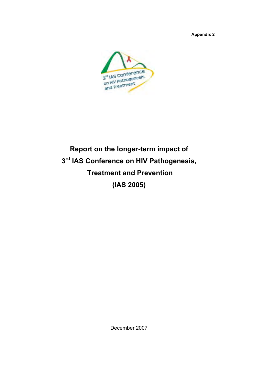**Appendix 2**



# **Report on the longer-term impact of 3rd IAS Conference on HIV Pathogenesis, Treatment and Prevention (IAS 2005)**

December 2007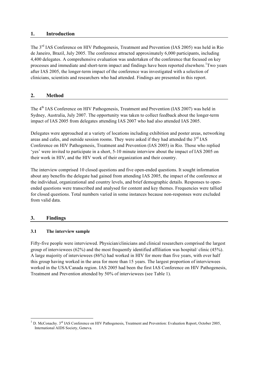### **1. Introduction**

The 3rd IAS Conference on HIV Pathogenesis, Treatment and Prevention (IAS 2005) was held in Rio de Janeiro, Brazil, July 2005. The conference attracted approximately 6,000 participants, including 4,400 delegates. A comprehensive evaluation was undertaken of the conference that focused on key processes and immediate and short-term impact and findings have been reported elsewhere. Two years after IAS 2005, the longer-term impact of the conference was investigated with a selection of clinicians, scientists and researchers who had attended. Findings are presented in this report.

## **2. Method**

The 4<sup>th</sup> IAS Conference on HIV Pathogenesis, Treatment and Prevention (IAS 2007) was held in Sydney, Australia, July 2007. The opportunity was taken to collect feedback about the longer-term impact of IAS 2005 from delegates attending IAS 2007 who had also attended IAS 2005.

Delegates were approached at a variety of locations including exhibition and poster areas, networking areas and cafes, and outside session rooms. They were asked if they had attended the 3<sup>rd</sup> IAS Conference on HIV Pathogenesis, Treatment and Prevention (IAS 2005) in Rio. Those who replied 'yes' were invited to participate in a short, 5-10 minute interview about the impact of IAS 2005 on their work in HIV, and the HIV work of their organization and their country.

The interview comprised 10 closed questions and five open-ended questions. It sought information about any benefits the delegate had gained from attending IAS 2005, the impact of the conference at the individual, organizational and country levels, and brief demographic details. Responses to openended questions were transcribed and analysed for content and key themes. Frequencies were tallied for closed questions. Total numbers varied in some instances because non-responses were excluded from valid data.

## **3. Findings**

## **3.1 The interview sample**

Fifty-five people were interviewed. Physician/clinicians and clinical researchers comprised the largest group of interviewees (62%) and the most frequently identified affiliation was hospital/ clinic (45%). A large majority of interviewees (86%) had worked in HIV for more than five years, with over half this group having worked in the area for more than 15 years. The largest proportion of interviewees worked in the USA/Canada region. IAS 2005 had been the first IAS Conference on HIV Pathogenesis, Treatment and Prevention attended by 50% of interviewees (see Table 1).

 $1$  D. McConachy.  $3^{\text{rd}}$  IAS Conference on HIV Pathogenesis, Treatment and Prevention: Evaluation Report, October 2005, International AIDS Society, Geneva.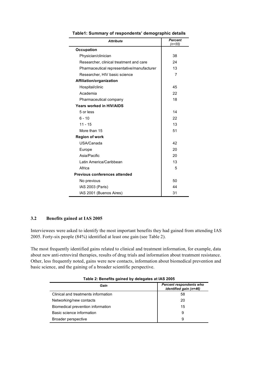| <b>Attribute</b>                           | Percent<br>(n=55) |
|--------------------------------------------|-------------------|
| <b>Occupation</b>                          |                   |
| Physician/clinician                        | 38                |
| Researcher, clinical treatment and care    | 24                |
| Pharmaceutical representative/manufacturer | 13                |
| Researcher, HIV basic science              | 7                 |
| Affiliation/organization                   |                   |
| Hospital/clinic                            | 45                |
| Academia                                   | 22                |
| Pharmaceutical company                     | 18                |
| Years worked in HIV/AIDS                   |                   |
| 5 or less                                  | 14                |
| $6 - 10$                                   | 22                |
| $11 - 15$                                  | 13                |
| More than 15                               | 51                |
| <b>Region of work</b>                      |                   |
| USA/Canada                                 | 42                |
| Europe                                     | 20                |
| Asia/Pacific                               | 20                |
| Latin America/Caribbean                    | 13                |
| Africa                                     | 5                 |
| Previous conferences attended              |                   |
| No previous                                | 50                |
| IAS 2003 (Paris)                           | 44                |
| IAS 2001 (Buenos Aires)                    | 31                |

**Table1: Summary of respondents' demographic details**

## **3.2 Benefits gained at IAS 2005**

Interviewees were asked to identify the most important benefits they had gained from attending IAS 2005. Forty-six people (84%) identified at least one gain (see Table 2).

The most frequently identified gains related to clinical and treatment information, for example, data about new anti-retroviral therapies, results of drug trials and information about treatment resistance. Other, less frequently noted, gains were new contacts, information about biomedical prevention and basic science, and the gaining of a broader scientific perspective.

| lable 2: Benefits gained by delegates at IAS 2005 |                                                          |  |
|---------------------------------------------------|----------------------------------------------------------|--|
| Gain                                              | <b>Percent respondents who</b><br>identified gain (n=46) |  |
| Clinical and treatments information               | 58                                                       |  |
| Networking/new contacts                           | 20                                                       |  |
| Biomedical prevention information                 | 15                                                       |  |
| Basic science information                         | 9                                                        |  |
| Broader perspective                               | 9                                                        |  |

**Table 2: Benefits gained by delegates at IAS 2005**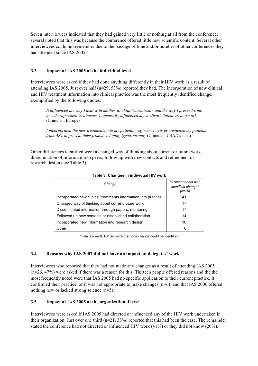Seven interviewees indicated that they had gained very little or nothing at all from the conference, several noted that this was because the conference offered little new scientific content. Several other interviewees could not remember due to the passage of time and/or number of other conferences they had attended since IAS 2005.

## **3.3 Impact of IAS 2005 at the individual level**

Interviewees were asked if they had done anything differently in their HIV work as a result of attending IAS 2005. Just over half (n=29, 53%) reported they had. The incorporation of new clinical and HIV treatment information into clinical practice was the most frequently identified change, exemplified by the following quotes:

*It influenced the way I deal with mother-to-child transmission and the way I prescribe the new therapeutical treatments. It generally influenced my medical/clinical area of work*  (Clinician, Europe)

*I incorporated the new treatments into my patients' regimen. I actively switched my patients from AZT to prevent them from developing lypodystrophy (Clinician, USA/Canada)* 

Other differences identified were a changed way of thinking about current or future work, dissemination of information to peers, follow-up with new contacts and refinement of research design (see Table 3).

| Change                                                         | % respondents who<br><i>identified change*</i><br>(n=29) |
|----------------------------------------------------------------|----------------------------------------------------------|
| Incorporated new clinical/treatments information into practice | 41                                                       |
| Changed way of thinking about current/future work              | 17                                                       |
| Disseminated information through papers, mentoring             | 17                                                       |
| Followed up new contacts or established collaboration          | 14                                                       |
| Incorporated new information into research design              | 10                                                       |
| Other                                                          | 6                                                        |

#### **Table 3: Changes in individual HIV work**

\*Total exceeds 100 as more than one change could be identified

#### **3.4 Reasons why IAS 2007 did not have an impact on delegates' work**

Interviewees who reported that they had not made any changes as a result of attending IAS 2005 (n=26, 47%) were asked if there was a reason for this. Thirteen people offered reasons and the the most frequently noted were that IAS 2005 had no specific application to their current practice, it confirmed their practice, or it was not appropriate to make changes (n=6), and that IAS 2006 offered nothing new or lacked strong science (n=5).

## **3.5 Impact of IAS 2005 at the organizational level**

Interviewees were asked if IAS 2005 had directed or influenced any of the HIV work undertaken in their organization. Just over one third  $(n=21, 38%)$  reported that this had been the case. The remainder stated the conference had not directed or influenced HIV work (41%) or they did not know (20%).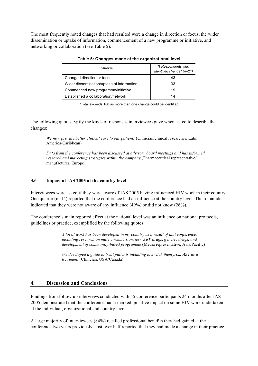The most frequently noted changes that had resulted were a change in direction or focus, the wider dissemination or uptake of information, commencement of a new programme or initiative, and networking or collaboration (see Table 5).

| Change                                    | % Respondents who<br>identified change* (n=21) |
|-------------------------------------------|------------------------------------------------|
| Changed direction or focus                | 43                                             |
| Wider dissemination/uptake of information | 33                                             |
| Commenced new programme/initiative        | 19                                             |
| Established a collaboration/network       | 14                                             |

#### **Table 5: Changes made at the organizational level**

\*Total exceeds 100 as more than one change could be identified

The following quotes typify the kinds of responses interviewees gave when asked to describe the changes:

*We now provide better clinical care to our patients* (Clinician/clinical researcher, Latin America/Caribbean)

*Data from the conference has been discussed at advisory board meetings and has informed research and marketing strategies within the company* (Pharmaceutical representative/ manufacturer, Europe).

#### **3.6 Impact of IAS 2005 at the country level**

Interviewees were asked if they were aware of IAS 2005 having influenced HIV work in their country. One quarter  $(n=14)$  reported that the conference had an influence at the country level. The remainder indicated that they were not aware of any influence (49%) or did not know (26%).

The conference's main reported effect at the national level was an influence on national protocols, guidelines or practice, exemplified by the following quotes:

> *A lot of work has been developed in my country as a result of that conference, including research on male circumcision, new ARV drugs, generic drugs, and development of community-based programme* (Media representative, Asia/Pacific)

*We developed a guide to treat patients including to switch them from AZT as a treatment* (Clinician, USA/Canada)

## **4. Discussion and Conclusions**

Findings from follow-up interviews conducted with 55 conference participants 24 months after IAS 2005 demonstrated that the conference had a marked, positive impact on some HIV work undertaken at the individual, organizational and country levels.

A large majority of interviewees (84%) recalled professional benefits they had gained at the conference two years previously. Just over half reported that they had made a change in their practice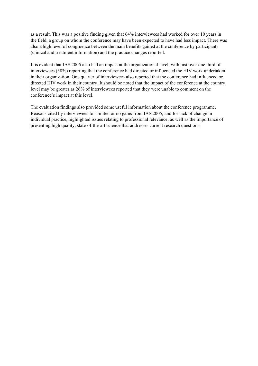as a result. This was a positive finding given that 64% interviewees had worked for over 10 years in the field, a group on whom the conference may have been expected to have had less impact. There was also a high level of congruence between the main benefits gained at the conference by participants (clinical and treatment information) and the practice changes reported.

It is evident that IAS 2005 also had an impact at the organizational level, with just over one third of interviewees (38%) reporting that the conference had directed or influenced the HIV work undertaken in their organization. One quarter of interviewees also reported that the conference had influenced or directed HIV work in their country. It should be noted that the impact of the conference at the country level may be greater as 26% of interviewees reported that they were unable to comment on the conference's impact at this level.

The evaluation findings also provided some useful information about the conference programme. Reasons cited by interviewees for limited or no gains from IAS 2005, and for lack of change in individual practice, highlighted issues relating to professional relevance, as well as the importance of presenting high quality, state-of-the-art science that addresses current research questions.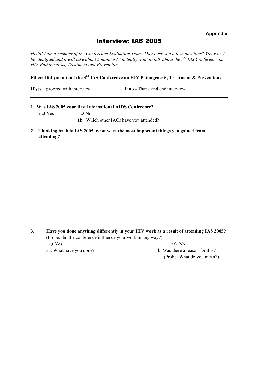**Appendix** 

## Interview: IAS 2005

*Hello! I am a member of the Conference Evaluation Team. May I ask you a few questions? You won't be identified and it will take about 5 minutes? I actually want to talk about the 3rd IAS Conference on HIV Pathogenesis, Treatment and Prevention.*

**Filter: Did you attend the 3rd IAS Conference on HIV Pathogenesis, Treatment & Prevention?**

**If yes** – proceed with interview **If no** - Thank and end interview

- **1. Was IAS 2005 your first International AIDS Conference? 1**  $\overline{Q}$  Yes 2  $\overline{Q}$  No **1b.** Which other IACs have you attended?
- **2. Thinking back to IAS 2005, what were the most important things you gained from attending?**

**3. Have you done anything differently in your HIV work as a result of attending IAS 2005?** (Probe: did the conference influence your work in any way?) **1 O** Yes 2 **O** No 3a. What have you done? 3b. Was there a reason for this? (Probe: What do you mean?)